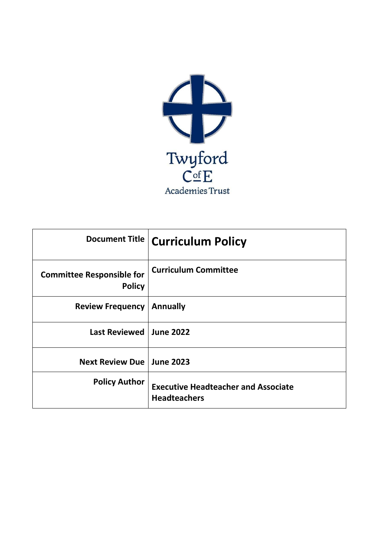

| Document Title                                    | Curriculum Policy                                                 |
|---------------------------------------------------|-------------------------------------------------------------------|
| <b>Committee Responsible for</b><br><b>Policy</b> | <b>Curriculum Committee</b>                                       |
| <b>Review Frequency</b>                           | <b>Annually</b>                                                   |
| <b>Last Reviewed</b>                              | <b>June 2022</b>                                                  |
| Next Review Due   June 2023                       |                                                                   |
| <b>Policy Author</b>                              | <b>Executive Headteacher and Associate</b><br><b>Headteachers</b> |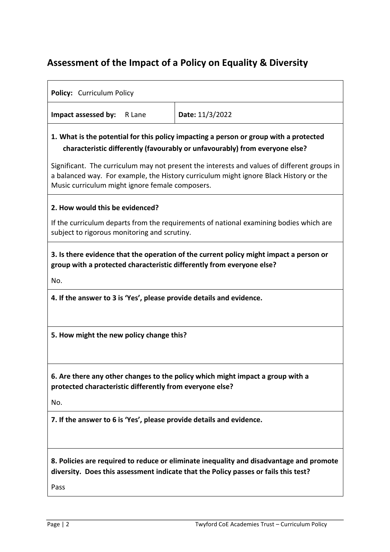## **Assessment of the Impact of a Policy on Equality & Diversity**

| Policy: Curriculum Policy                                                                                                                                                                                                               |                                                                                                                                                                                |  |  |  |  |  |  |  |  |  |  |
|-----------------------------------------------------------------------------------------------------------------------------------------------------------------------------------------------------------------------------------------|--------------------------------------------------------------------------------------------------------------------------------------------------------------------------------|--|--|--|--|--|--|--|--|--|--|
| Impact assessed by:<br>R Lane                                                                                                                                                                                                           | Date: 11/3/2022                                                                                                                                                                |  |  |  |  |  |  |  |  |  |  |
| 1. What is the potential for this policy impacting a person or group with a protected<br>characteristic differently (favourably or unfavourably) from everyone else?                                                                    |                                                                                                                                                                                |  |  |  |  |  |  |  |  |  |  |
| Significant. The curriculum may not present the interests and values of different groups in<br>a balanced way. For example, the History curriculum might ignore Black History or the<br>Music curriculum might ignore female composers. |                                                                                                                                                                                |  |  |  |  |  |  |  |  |  |  |
| 2. How would this be evidenced?                                                                                                                                                                                                         |                                                                                                                                                                                |  |  |  |  |  |  |  |  |  |  |
| subject to rigorous monitoring and scrutiny.                                                                                                                                                                                            | If the curriculum departs from the requirements of national examining bodies which are                                                                                         |  |  |  |  |  |  |  |  |  |  |
| group with a protected characteristic differently from everyone else?<br>No.                                                                                                                                                            | 3. Is there evidence that the operation of the current policy might impact a person or                                                                                         |  |  |  |  |  |  |  |  |  |  |
| 4. If the answer to 3 is 'Yes', please provide details and evidence.                                                                                                                                                                    |                                                                                                                                                                                |  |  |  |  |  |  |  |  |  |  |
|                                                                                                                                                                                                                                         |                                                                                                                                                                                |  |  |  |  |  |  |  |  |  |  |
| 5. How might the new policy change this?                                                                                                                                                                                                |                                                                                                                                                                                |  |  |  |  |  |  |  |  |  |  |
| protected characteristic differently from everyone else?                                                                                                                                                                                | 6. Are there any other changes to the policy which might impact a group with a                                                                                                 |  |  |  |  |  |  |  |  |  |  |
| No.                                                                                                                                                                                                                                     |                                                                                                                                                                                |  |  |  |  |  |  |  |  |  |  |
| 7. If the answer to 6 is 'Yes', please provide details and evidence.                                                                                                                                                                    |                                                                                                                                                                                |  |  |  |  |  |  |  |  |  |  |
| Pass                                                                                                                                                                                                                                    | 8. Policies are required to reduce or eliminate inequality and disadvantage and promote<br>diversity. Does this assessment indicate that the Policy passes or fails this test? |  |  |  |  |  |  |  |  |  |  |
|                                                                                                                                                                                                                                         |                                                                                                                                                                                |  |  |  |  |  |  |  |  |  |  |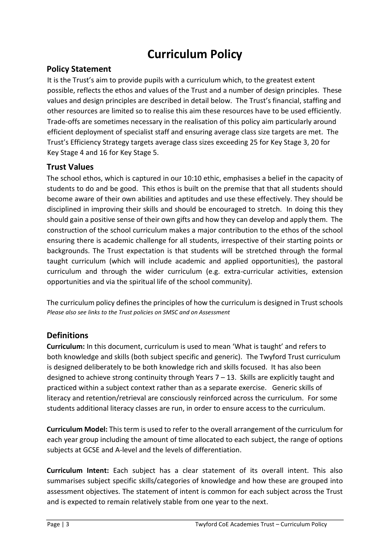# **Curriculum Policy**

#### **Policy Statement**

It is the Trust's aim to provide pupils with a curriculum which, to the greatest extent possible, reflects the ethos and values of the Trust and a number of design principles. These values and design principles are described in detail below. The Trust's financial, staffing and other resources are limited so to realise this aim these resources have to be used efficiently. Trade-offs are sometimes necessary in the realisation of this policy aim particularly around efficient deployment of specialist staff and ensuring average class size targets are met. The Trust's Efficiency Strategy targets average class sizes exceeding 25 for Key Stage 3, 20 for Key Stage 4 and 16 for Key Stage 5.

#### **Trust Values**

The school ethos, which is captured in our 10:10 ethic, emphasises a belief in the capacity of students to do and be good. This ethos is built on the premise that that all students should become aware of their own abilities and aptitudes and use these effectively. They should be disciplined in improving their skills and should be encouraged to stretch. In doing this they should gain a positive sense of their own gifts and how they can develop and apply them. The construction of the school curriculum makes a major contribution to the ethos of the school ensuring there is academic challenge for all students, irrespective of their starting points or backgrounds. The Trust expectation is that students will be stretched through the formal taught curriculum (which will include academic and applied opportunities), the pastoral curriculum and through the wider curriculum (e.g. extra-curricular activities, extension opportunities and via the spiritual life of the school community).

The curriculum policy defines the principles of how the curriculum is designed in Trust schools *Please also see links to the Trust policies on SMSC and on Assessment* 

#### **Definitions**

**Curriculum:** In this document, curriculum is used to mean 'What is taught' and refers to both knowledge and skills (both subject specific and generic). The Twyford Trust curriculum is designed deliberately to be both knowledge rich and skills focused. It has also been designed to achieve strong continuity through Years 7 – 13. Skills are explicitly taught and practiced within a subject context rather than as a separate exercise. Generic skills of literacy and retention/retrieval are consciously reinforced across the curriculum. For some students additional literacy classes are run, in order to ensure access to the curriculum.

**Curriculum Model:** This term is used to refer to the overall arrangement of the curriculum for each year group including the amount of time allocated to each subject, the range of options subjects at GCSE and A-level and the levels of differentiation.

**Curriculum Intent:** Each subject has a clear statement of its overall intent. This also summarises subject specific skills/categories of knowledge and how these are grouped into assessment objectives. The statement of intent is common for each subject across the Trust and is expected to remain relatively stable from one year to the next.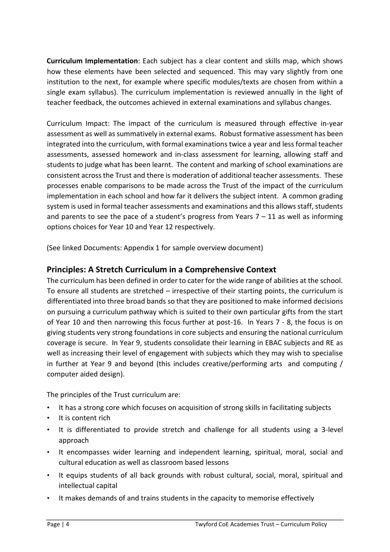**Curriculum Implementation**: Each subject has a clear content and skills map, which shows how these elements have been selected and sequenced. This may vary slightly from one institution to the next, for example where specific modules/texts are chosen from within a single exam syllabus). The curriculum implementation is reviewed annually in the light of teacher feedback, the outcomes achieved in external examinations and syllabus changes.

Curriculum Impact: The impact of the curriculum is measured through effective in-year assessment as well as summatively in external exams. Robust formative assessment has been integrated into the curriculum, with formal examinations twice a year and less formal teacher assessments, assessed homework and in-class assessment for learning, allowing staff and students to judge what has been learnt. The content and marking of school examinations are consistent across the Trust and there is moderation of additional teacher assessments. These processes enable comparisons to be made across the Trust of the impact of the curriculum implementation in each school and how far it delivers the subject intent. A common grading system is used in formal teacher assessments and examinations and this allows staff, students and parents to see the pace of a student's progress from Years  $7 - 11$  as well as informing options choices for Year 10 and Year 12 respectively.

(See linked Documents: Appendix 1 for sample overview document)

#### **Principles: A Stretch Curriculum in a Comprehensive Context**

The curriculum has been defined in order to cater for the wide range of abilities at the school. To ensure all students are stretched – irrespective of their starting points, the curriculum is differentiated into three broad bands so that they are positioned to make informed decisions on pursuing a curriculum pathway which is suited to their own particular gifts from the start of Year 10 and then narrowing this focus further at post-16. In Years 7 - 8, the focus is on giving students very strong foundations in core subjects and ensuring the national curriculum coverage is secure. In Year 9, students consolidate their learning in EBAC subjects and RE as well as increasing their level of engagement with subjects which they may wish to specialise in further at Year 9 and beyond (this includes creative/performing arts and computing / computer aided design).

The principles of the Trust curriculum are:

- It has a strong core which focuses on acquisition of strong skills in facilitating subjects
- It is content rich
- It is differentiated to provide stretch and challenge for all students using a 3-level approach
- It encompasses wider learning and independent learning, spiritual, moral, social and cultural education as well as classroom based lessons
- It equips students of all back grounds with robust cultural, social, moral, spiritual and intellectual capital
- It makes demands of and trains students in the capacity to memorise effectively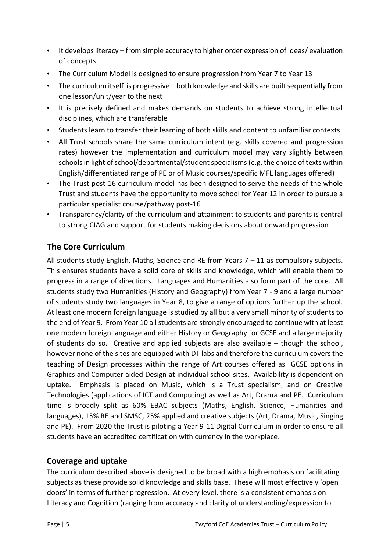- It develops literacy from simple accuracy to higher order expression of ideas/ evaluation of concepts
- The Curriculum Model is designed to ensure progression from Year 7 to Year 13
- The curriculum itself is progressive both knowledge and skills are built sequentially from one lesson/unit/year to the next
- It is precisely defined and makes demands on students to achieve strong intellectual disciplines, which are transferable
- Students learn to transfer their learning of both skills and content to unfamiliar contexts
- All Trust schools share the same curriculum intent (e.g. skills covered and progression rates) however the implementation and curriculum model may vary slightly between schools in light of school/departmental/student specialisms (e.g. the choice of texts within English/differentiated range of PE or of Music courses/specific MFL languages offered)
- The Trust post-16 curriculum model has been designed to serve the needs of the whole Trust and students have the opportunity to move school for Year 12 in order to pursue a particular specialist course/pathway post-16
- Transparency/clarity of the curriculum and attainment to students and parents is central to strong CIAG and support for students making decisions about onward progression

### **The Core Curriculum**

All students study English, Maths, Science and RE from Years  $7 - 11$  as compulsory subjects. This ensures students have a solid core of skills and knowledge, which will enable them to progress in a range of directions. Languages and Humanities also form part of the core. All students study two Humanities (History and Geography) from Year 7 - 9 and a large number of students study two languages in Year 8, to give a range of options further up the school. At least one modern foreign language is studied by all but a very small minority of students to the end of Year 9. From Year 10 all students are strongly encouraged to continue with at least one modern foreign language and either History or Geography for GCSE and a large majority of students do so. Creative and applied subjects are also available – though the school, however none of the sites are equipped with DT labs and therefore the curriculum covers the teaching of Design processes within the range of Art courses offered as GCSE options in Graphics and Computer aided Design at individual school sites. Availability is dependent on uptake. Emphasis is placed on Music, which is a Trust specialism, and on Creative Technologies (applications of ICT and Computing) as well as Art, Drama and PE. Curriculum time is broadly split as 60% EBAC subjects (Maths, English, Science, Humanities and languages), 15% RE and SMSC, 25% applied and creative subjects (Art, Drama, Music, Singing and PE). From 2020 the Trust is piloting a Year 9-11 Digital Curriculum in order to ensure all students have an accredited certification with currency in the workplace.

#### **Coverage and uptake**

The curriculum described above is designed to be broad with a high emphasis on facilitating subjects as these provide solid knowledge and skills base. These will most effectively 'open doors' in terms of further progression. At every level, there is a consistent emphasis on Literacy and Cognition (ranging from accuracy and clarity of understanding/expression to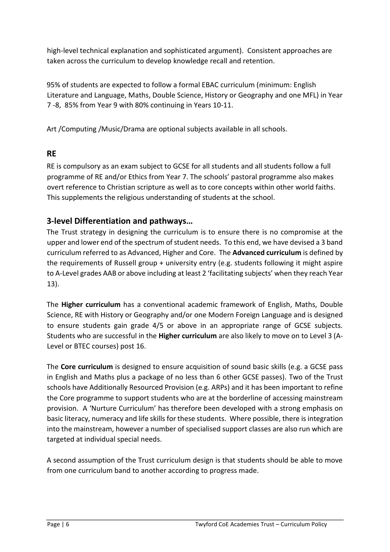high-level technical explanation and sophisticated argument). Consistent approaches are taken across the curriculum to develop knowledge recall and retention.

95% of students are expected to follow a formal EBAC curriculum (minimum: English Literature and Language, Maths, Double Science, History or Geography and one MFL) in Year 7 -8, 85% from Year 9 with 80% continuing in Years 10-11.

Art /Computing /Music/Drama are optional subjects available in all schools.

#### **RE**

RE is compulsory as an exam subject to GCSE for all students and all students follow a full programme of RE and/or Ethics from Year 7. The schools' pastoral programme also makes overt reference to Christian scripture as well as to core concepts within other world faiths. This supplements the religious understanding of students at the school.

#### **3-level Differentiation and pathways…**

The Trust strategy in designing the curriculum is to ensure there is no compromise at the upper and lower end of the spectrum of student needs. To this end, we have devised a 3 band curriculum referred to as Advanced, Higher and Core. The **Advanced curriculum** is defined by the requirements of Russell group + university entry (e.g. students following it might aspire to A-Level grades AAB or above including at least 2 'facilitating subjects' when they reach Year 13).

The **Higher curriculum** has a conventional academic framework of English, Maths, Double Science, RE with History or Geography and/or one Modern Foreign Language and is designed to ensure students gain grade 4/5 or above in an appropriate range of GCSE subjects. Students who are successful in the **Higher curriculum** are also likely to move on to Level 3 (A-Level or BTEC courses) post 16.

The **Core curriculum** is designed to ensure acquisition of sound basic skills (e.g. a GCSE pass in English and Maths plus a package of no less than 6 other GCSE passes). Two of the Trust schools have Additionally Resourced Provision (e.g. ARPs) and it has been important to refine the Core programme to support students who are at the borderline of accessing mainstream provision. A 'Nurture Curriculum' has therefore been developed with a strong emphasis on basic literacy, numeracy and life skills for these students. Where possible, there is integration into the mainstream, however a number of specialised support classes are also run which are targeted at individual special needs.

A second assumption of the Trust curriculum design is that students should be able to move from one curriculum band to another according to progress made.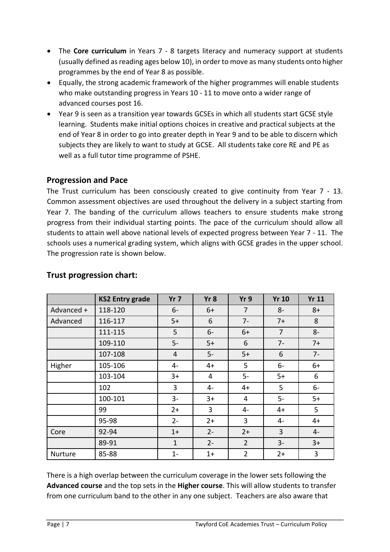- The **Core curriculum** in Years 7 8 targets literacy and numeracy support at students (usually defined as reading ages below 10), in order to move as many students onto higher programmes by the end of Year 8 as possible.
- Equally, the strong academic framework of the higher programmes will enable students who make outstanding progress in Years 10 - 11 to move onto a wider range of advanced courses post 16.
- Year 9 is seen as a transition year towards GCSEs in which all students start GCSE style learning. Students make initial options choices in creative and practical subjects at the end of Year 8 in order to go into greater depth in Year 9 and to be able to discern which subjects they are likely to want to study at GCSE. All students take core RE and PE as well as a full tutor time programme of PSHE.

#### **Progression and Pace**

The Trust curriculum has been consciously created to give continuity from Year 7 - 13. Common assessment objectives are used throughout the delivery in a subject starting from Year 7. The banding of the curriculum allows teachers to ensure students make strong progress from their individual starting points. The pace of the curriculum should allow all students to attain well above national levels of expected progress between Year 7 - 11. The schools uses a numerical grading system, which aligns with GCSE grades in the upper school. The progression rate is shown below.

|                | <b>KS2 Entry grade</b> | Yr <sub>7</sub> | Yr8   | Yr 9           | <b>Yr 10</b>   | <b>Yr 11</b> |
|----------------|------------------------|-----------------|-------|----------------|----------------|--------------|
| Advanced +     | 118-120                | $6-$            | $6+$  | 7              | $8-$           | $8+$         |
| Advanced       | 116-117                | $5+$            | 6     | $7-$           | $7+$           | 8            |
|                | 111-115                | 5               | $6-$  | $6+$           | 7              | $8-$         |
|                | 109-110                | $5-$            | $5+$  | 6              | $7-$           | $7+$         |
|                | 107-108                | 4               | $5-$  | $5+$           | 6              | $7-$         |
| Higher         | 105-106                | 4-              | $4+$  | 5              | $6-$           | $6+$         |
|                | 103-104                | $3+$            | 4     | $5-$           | $5+$           | 6            |
|                | 102                    | 3               | 4-    | $4+$           | 5              | $6-$         |
|                | 100-101                | $3-$            | $3+$  | 4              | $5-$           | $5+$         |
|                | 99                     | $2+$            | 3     | 4-             | $4+$           | 5            |
|                | 95-98                  | $2 -$           | $2+$  | 3              | 4-             | $4+$         |
| Core           | 92-94                  | $1+$            | $2 -$ | $2+$           | $\overline{3}$ | $4-$         |
|                | 89-91                  | $\mathbf{1}$    | $2 -$ | $\overline{2}$ | $3 -$          | $3+$         |
| <b>Nurture</b> | 85-88                  | $1 -$           | $1+$  | $\overline{2}$ | $2+$           | 3            |

#### **Trust progression chart:**

There is a high overlap between the curriculum coverage in the lower sets following the **Advanced course** and the top sets in the **Higher course**. This will allow students to transfer from one curriculum band to the other in any one subject. Teachers are also aware that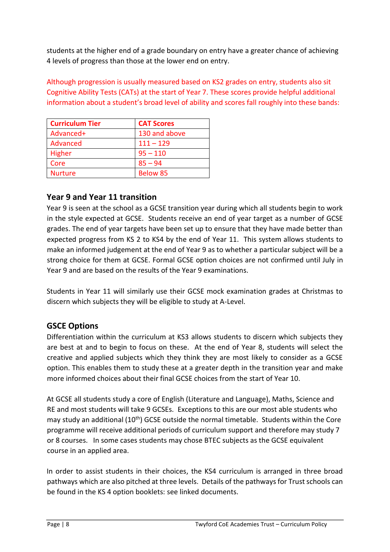students at the higher end of a grade boundary on entry have a greater chance of achieving 4 levels of progress than those at the lower end on entry.

Although progression is usually measured based on KS2 grades on entry, students also sit Cognitive Ability Tests (CATs) at the start of Year 7. These scores provide helpful additional information about a student's broad level of ability and scores fall roughly into these bands:

| <b>Curriculum Tier</b> | <b>CAT Scores</b> |
|------------------------|-------------------|
| Advanced+              | 130 and above     |
| Advanced               | $111 - 129$       |
| Higher                 | $95 - 110$        |
| Core                   | $85 - 94$         |
| <b>Nurture</b>         | <b>Below 85</b>   |

#### **Year 9 and Year 11 transition**

Year 9 is seen at the school as a GCSE transition year during which all students begin to work in the style expected at GCSE. Students receive an end of year target as a number of GCSE grades. The end of year targets have been set up to ensure that they have made better than expected progress from KS 2 to KS4 by the end of Year 11. This system allows students to make an informed judgement at the end of Year 9 as to whether a particular subject will be a strong choice for them at GCSE. Formal GCSE option choices are not confirmed until July in Year 9 and are based on the results of the Year 9 examinations.

Students in Year 11 will similarly use their GCSE mock examination grades at Christmas to discern which subjects they will be eligible to study at A-Level.

### **GSCE Options**

Differentiation within the curriculum at KS3 allows students to discern which subjects they are best at and to begin to focus on these. At the end of Year 8, students will select the creative and applied subjects which they think they are most likely to consider as a GCSE option. This enables them to study these at a greater depth in the transition year and make more informed choices about their final GCSE choices from the start of Year 10.

At GCSE all students study a core of English (Literature and Language), Maths, Science and RE and most students will take 9 GCSEs. Exceptions to this are our most able students who may study an additional (10<sup>th</sup>) GCSE outside the normal timetable. Students within the Core programme will receive additional periods of curriculum support and therefore may study 7 or 8 courses. In some cases students may chose BTEC subjects as the GCSE equivalent course in an applied area.

In order to assist students in their choices, the KS4 curriculum is arranged in three broad pathways which are also pitched at three levels. Details of the pathways for Trust schools can be found in the KS 4 option booklets: see linked documents.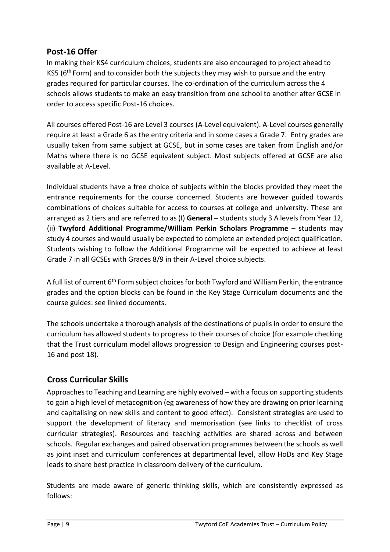#### **Post-16 Offer**

In making their KS4 curriculum choices, students are also encouraged to project ahead to KS5 ( $6<sup>th</sup>$  Form) and to consider both the subjects they may wish to pursue and the entry grades required for particular courses. The co-ordination of the curriculum across the 4 schools allows students to make an easy transition from one school to another after GCSE in order to access specific Post-16 choices.

All courses offered Post-16 are Level 3 courses (A-Level equivalent). A-Level courses generally require at least a Grade 6 as the entry criteria and in some cases a Grade 7. Entry grades are usually taken from same subject at GCSE, but in some cases are taken from English and/or Maths where there is no GCSE equivalent subject. Most subjects offered at GCSE are also available at A-Level.

Individual students have a free choice of subjects within the blocks provided they meet the entrance requirements for the course concerned. Students are however guided towards combinations of choices suitable for access to courses at college and university. These are arranged as 2 tiers and are referred to as (I) **General –** students study 3 A levels from Year 12, (ii) **Twyford Additional Programme/William Perkin Scholars Programme** – students may study 4 courses and would usually be expected to complete an extended project qualification. Students wishing to follow the Additional Programme will be expected to achieve at least Grade 7 in all GCSEs with Grades 8/9 in their A-Level choice subjects.

A full list of current  $6<sup>th</sup>$  Form subject choices for both Twyford and William Perkin, the entrance grades and the option blocks can be found in the Key Stage Curriculum documents and the course guides: see linked documents.

The schools undertake a thorough analysis of the destinations of pupils in order to ensure the curriculum has allowed students to progress to their courses of choice (for example checking that the Trust curriculum model allows progression to Design and Engineering courses post-16 and post 18).

#### **Cross Curricular Skills**

Approaches to Teaching and Learning are highly evolved – with a focus on supporting students to gain a high level of metacognition (eg awareness of how they are drawing on prior learning and capitalising on new skills and content to good effect). Consistent strategies are used to support the development of literacy and memorisation (see links to checklist of cross curricular strategies). Resources and teaching activities are shared across and between schools. Regular exchanges and paired observation programmes between the schools as well as joint inset and curriculum conferences at departmental level, allow HoDs and Key Stage leads to share best practice in classroom delivery of the curriculum.

Students are made aware of generic thinking skills, which are consistently expressed as follows: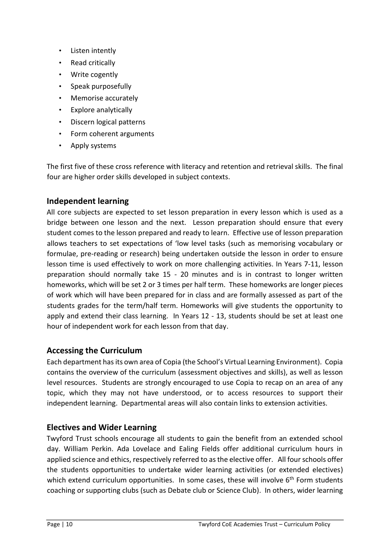- Listen intently
- Read critically
- Write cogently
- Speak purposefully
- Memorise accurately
- Explore analytically
- Discern logical patterns
- Form coherent arguments
- Apply systems

The first five of these cross reference with literacy and retention and retrieval skills. The final four are higher order skills developed in subject contexts.

#### **Independent learning**

All core subjects are expected to set lesson preparation in every lesson which is used as a bridge between one lesson and the next. Lesson preparation should ensure that every student comes to the lesson prepared and ready to learn. Effective use of lesson preparation allows teachers to set expectations of 'low level tasks (such as memorising vocabulary or formulae, pre-reading or research) being undertaken outside the lesson in order to ensure lesson time is used effectively to work on more challenging activities. In Years 7-11, lesson preparation should normally take 15 - 20 minutes and is in contrast to longer written homeworks, which will be set 2 or 3 times per half term. These homeworks are longer pieces of work which will have been prepared for in class and are formally assessed as part of the students grades for the term/half term. Homeworks will give students the opportunity to apply and extend their class learning. In Years 12 - 13, students should be set at least one hour of independent work for each lesson from that day.

#### **Accessing the Curriculum**

Each department has its own area of Copia (the School's Virtual Learning Environment). Copia contains the overview of the curriculum (assessment objectives and skills), as well as lesson level resources. Students are strongly encouraged to use Copia to recap on an area of any topic, which they may not have understood, or to access resources to support their independent learning. Departmental areas will also contain links to extension activities.

#### **Electives and Wider Learning**

Twyford Trust schools encourage all students to gain the benefit from an extended school day. William Perkin. Ada Lovelace and Ealing Fields offer additional curriculum hours in applied science and ethics, respectively referred to as the elective offer. All four schools offer the students opportunities to undertake wider learning activities (or extended electives) which extend curriculum opportunities. In some cases, these will involve  $6<sup>th</sup>$  Form students coaching or supporting clubs (such as Debate club or Science Club). In others, wider learning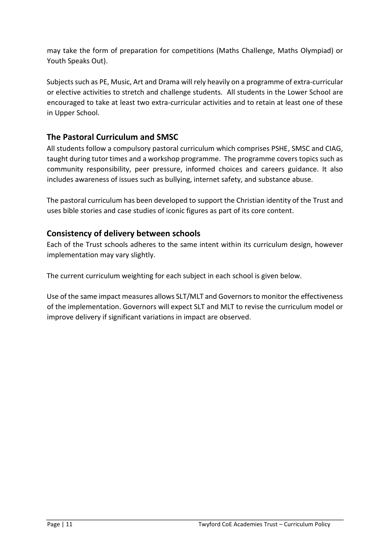may take the form of preparation for competitions (Maths Challenge, Maths Olympiad) or Youth Speaks Out).

Subjects such as PE, Music, Art and Drama will rely heavily on a programme of extra-curricular or elective activities to stretch and challenge students. All students in the Lower School are encouraged to take at least two extra-curricular activities and to retain at least one of these in Upper School.

### **The Pastoral Curriculum and SMSC**

All students follow a compulsory pastoral curriculum which comprises PSHE, SMSC and CIAG, taught during tutor times and a workshop programme. The programme covers topics such as community responsibility, peer pressure, informed choices and careers guidance. It also includes awareness of issues such as bullying, internet safety, and substance abuse.

The pastoral curriculum has been developed to support the Christian identity of the Trust and uses bible stories and case studies of iconic figures as part of its core content.

#### **Consistency of delivery between schools**

Each of the Trust schools adheres to the same intent within its curriculum design, however implementation may vary slightly.

The current curriculum weighting for each subject in each school is given below.

Use of the same impact measures allows SLT/MLT and Governors to monitor the effectiveness of the implementation. Governors will expect SLT and MLT to revise the curriculum model or improve delivery if significant variations in impact are observed.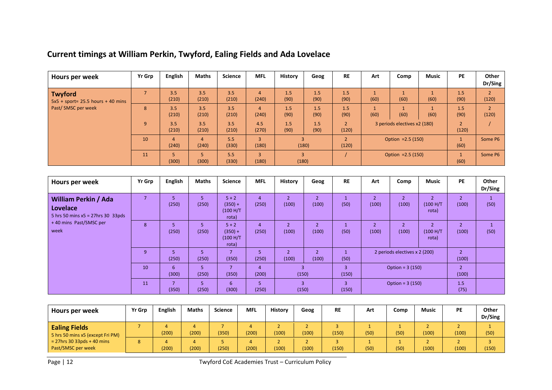| Hours per week                                         | Yr Grp | <b>English</b>          | <b>Maths</b>                   | <b>Science</b> | <b>MFL</b>              | <b>History</b>          | Geog        | <b>RE</b>   | Art                          | Comp | <b>Music</b>         | <b>PE</b>               | Other<br>Dr/Sing |
|--------------------------------------------------------|--------|-------------------------|--------------------------------|----------------|-------------------------|-------------------------|-------------|-------------|------------------------------|------|----------------------|-------------------------|------------------|
| <b>Twyford</b><br>$5x5 + sport = 25.5 hours + 40 mins$ |        | 3.5<br>(210)            | 3.5<br>(210)                   | 3.5<br>(210)   | $\overline{4}$<br>(240) | 1.5<br>(90)             | 1.5<br>(90) | 1.5<br>(90) | (60)                         | (60) | (60)                 | 1.5<br>(90)             | (120)            |
| Past/SMSC per week                                     | 8      | 3.5<br>(210)            | 3.5<br>(210)                   | 3.5<br>(210)   | $\overline{4}$<br>(240) | 1.5<br>(90)             | 1.5<br>(90) | 1.5<br>(90) | (60)                         | (60) | (60)                 | 1.5<br>(90)             | (120)            |
|                                                        | 9      | 3.5<br>(210)            | 3.5<br>(210)                   | 3.5<br>(210)   | 4.5<br>(270)            | 1.5<br>(90)             | 1.5<br>(90) | (120)       | 3 periods electives x2 (180) |      |                      | $\overline{2}$<br>(120) |                  |
|                                                        | 10     | $\overline{4}$<br>(240) | $\boldsymbol{\Delta}$<br>(240) | 5.5<br>(330)   | $\overline{3}$<br>(180) |                         | (180)       | (120)       | Option = $2.5(150)$          |      |                      | $\mathbf{1}$<br>(60)    | Some P6          |
|                                                        | 11     | 5<br>(300)              | (300)                          | 5.5<br>(330)   | $\overline{3}$<br>(180) | $\overline{3}$<br>(180) |             |             | Option = $2.5(150)$          |      | $\mathbf{1}$<br>(60) | Some P6                 |                  |

## **Current timings at William Perkin, Twyford, Ealing Fields and Ada Lovelace**

| Hours per week                                                                         | Yr Grp | <b>English</b>          | <b>Maths</b>                 | <b>Science</b>                             | <b>MFL</b>              | <b>History</b>                    | Geog                              | <b>RE</b>               | Art                     | Comp                          | <b>Music</b>                         | PE                      | Other<br>Dr/Sing |
|----------------------------------------------------------------------------------------|--------|-------------------------|------------------------------|--------------------------------------------|-------------------------|-----------------------------------|-----------------------------------|-------------------------|-------------------------|-------------------------------|--------------------------------------|-------------------------|------------------|
| <b>William Perkin / Ada</b><br><b>Lovelace</b><br>5 hrs 50 mins $x5 = 27$ hrs 30 33pds |        | 5<br>(250)              | 5<br>(250)                   | $5 + 2$<br>$(350) +$<br>(100 H/T)<br>rota) | $\overline{4}$<br>(250) | $\overline{2}$<br>(100)           | $\overline{2}$<br>(100)           | (50)                    | $\overline{2}$<br>(100) | (100)                         | $\overline{2}$<br>(100 H/T)<br>rota) | $\overline{2}$<br>(100) | (50)             |
| +40 mins Past/SMSC per<br>week                                                         | 8      | 5<br>(250)              | 5<br>(250)                   | $5 + 2$<br>$(350) +$<br>(100 H/T)<br>rota) | $\overline{4}$<br>(250) | $\overline{2}$<br>(100)           | (100)                             | (50)                    | $\overline{2}$<br>(100) | (100)                         | $\mathcal{P}$<br>(100 H/T)<br>rota)  | $\overline{2}$<br>(100) | (50)             |
|                                                                                        | 9      | 5<br>(250)              | 5<br>(250)                   | (350)                                      | 5<br>(250)              | $\overline{\phantom{a}}$<br>(100) | $\overline{\phantom{a}}$<br>(100) | (50)                    |                         | 2 periods electives x 2 (200) |                                      | $\overline{2}$<br>(100) |                  |
|                                                                                        | 10     | 6<br>(300)              | 5<br>(250)                   | (350)                                      | $\overline{4}$<br>(200) | $\overline{3}$<br>(150)           |                                   | $\overline{3}$<br>(150) | Option = $3(150)$       |                               | $\overline{2}$<br>(100)              |                         |                  |
|                                                                                        | 11     | $\overline{7}$<br>(350) | $\blacksquare$<br>כ<br>(250) | 6<br>(300)                                 | 5<br>(250)              | $\overline{3}$<br>(150)           |                                   | $\overline{3}$<br>(150) | Option = $3(150)$       |                               |                                      | 1.5<br>(75)             |                  |

| Hours per week                                                                                                  | <b>Yr Grp</b> | English | <b>Maths</b> | Science | <b>MFL</b> | <b>History</b> | Geog  | <b>RE</b> | Art  | Comp | <b>Music</b> | PE    | Other<br>Dr/Sing |
|-----------------------------------------------------------------------------------------------------------------|---------------|---------|--------------|---------|------------|----------------|-------|-----------|------|------|--------------|-------|------------------|
| <b>Ealing Fields</b><br>5 hrs 50 mins x5 (except Fri PM)<br>$= 27$ hrs 30 33pds + 40 mins<br>Past/SMSC per week |               | (200)   | (200)        | (350)   | (200)      | (100)          | (100) | (150)     | (50) | (50) | (100)        | (100) | (50)             |
|                                                                                                                 |               | (200)   | (200)        | (250)   | (200)      | (100)          | (100) | (150)     | (50) | (50) | (100)        | (100) | (150)            |